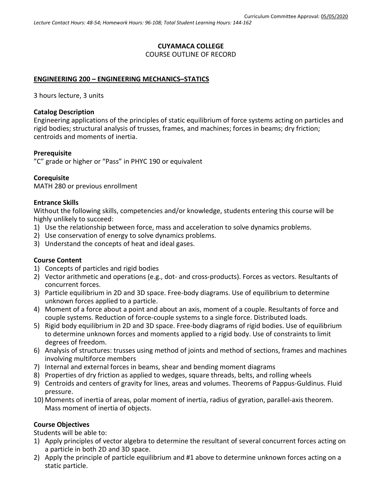# **CUYAMACA COLLEGE** COURSE OUTLINE OF RECORD

#### **ENGINEERING 200 – ENGINEERING MECHANICS–STATICS**

3 hours lecture, 3 units

#### **Catalog Description**

Engineering applications of the principles of static equilibrium of force systems acting on particles and rigid bodies; structural analysis of trusses, frames, and machines; forces in beams; dry friction; centroids and moments of inertia.

#### **Prerequisite**

"C" grade or higher or "Pass" in PHYC 190 or equivalent

#### **Corequisite**

MATH 280 or previous enrollment

#### **Entrance Skills**

Without the following skills, competencies and/or knowledge, students entering this course will be highly unlikely to succeed:

- 1) Use the relationship between force, mass and acceleration to solve dynamics problems.
- 2) Use conservation of energy to solve dynamics problems.
- 3) Understand the concepts of heat and ideal gases.

#### **Course Content**

- 1) Concepts of particles and rigid bodies
- 2) Vector arithmetic and operations (e.g., dot- and cross-products). Forces as vectors. Resultants of concurrent forces.
- 3) Particle equilibrium in 2D and 3D space. Free-body diagrams. Use of equilibrium to determine unknown forces applied to a particle.
- 4) Moment of a force about a point and about an axis, moment of a couple. Resultants of force and couple systems. Reduction of force-couple systems to a single force. Distributed loads.
- 5) Rigid body equilibrium in 2D and 3D space. Free-body diagrams of rigid bodies. Use of equilibrium to determine unknown forces and moments applied to a rigid body. Use of constraints to limit degrees of freedom.
- 6) Analysis of structures: trusses using method of joints and method of sections, frames and machines involving multiforce members
- 7) Internal and external forces in beams, shear and bending moment diagrams
- 8) Properties of dry friction as applied to wedges, square threads, belts, and rolling wheels
- 9) Centroids and centers of gravity for lines, areas and volumes. Theorems of Pappus-Guldinus. Fluid pressure.
- 10) Moments of inertia of areas, polar moment of inertia, radius of gyration, parallel-axis theorem. Mass moment of inertia of objects.

### **Course Objectives**

Students will be able to:

- 1) Apply principles of vector algebra to determine the resultant of several concurrent forces acting on a particle in both 2D and 3D space.
- 2) Apply the principle of particle equilibrium and #1 above to determine unknown forces acting on a static particle.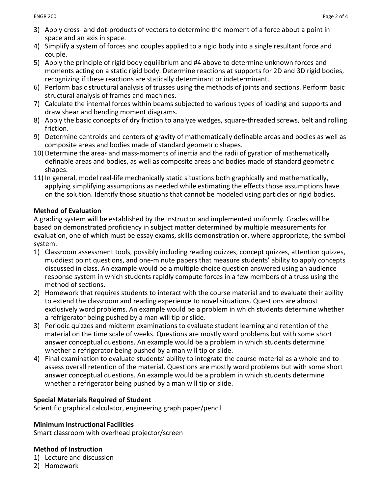- 3) Apply cross- and dot-products of vectors to determine the moment of a force about a point in space and an axis in space.
- 4) Simplify a system of forces and couples applied to a rigid body into a single resultant force and couple.
- 5) Apply the principle of rigid body equilibrium and #4 above to determine unknown forces and moments acting on a static rigid body. Determine reactions at supports for 2D and 3D rigid bodies, recognizing if these reactions are statically determinant or indeterminant.
- 6) Perform basic structural analysis of trusses using the methods of joints and sections. Perform basic structural analysis of frames and machines.
- 7) Calculate the internal forces within beams subjected to various types of loading and supports and draw shear and bending moment diagrams.
- 8) Apply the basic concepts of dry friction to analyze wedges, square-threaded screws, belt and rolling friction.
- 9) Determine centroids and centers of gravity of mathematically definable areas and bodies as well as composite areas and bodies made of standard geometric shapes.
- 10) Determine the area- and mass-moments of inertia and the radii of gyration of mathematically definable areas and bodies, as well as composite areas and bodies made of standard geometric shapes.
- 11) In general, model real-life mechanically static situations both graphically and mathematically, applying simplifying assumptions as needed while estimating the effects those assumptions have on the solution. Identify those situations that cannot be modeled using particles or rigid bodies.

## **Method of Evaluation**

A grading system will be established by the instructor and implemented uniformly. Grades will be based on demonstrated proficiency in subject matter determined by multiple measurements for evaluation, one of which must be essay exams, skills demonstration or, where appropriate, the symbol system.

- 1) Classroom assessment tools, possibly including reading quizzes, concept quizzes, attention quizzes, muddiest point questions, and one-minute papers that measure students' ability to apply concepts discussed in class. An example would be a multiple choice question answered using an audience response system in which students rapidly compute forces in a few members of a truss using the method of sections.
- 2) Homework that requires students to interact with the course material and to evaluate their ability to extend the classroom and reading experience to novel situations. Questions are almost exclusively word problems. An example would be a problem in which students determine whether a refrigerator being pushed by a man will tip or slide.
- 3) Periodic quizzes and midterm examinations to evaluate student learning and retention of the material on the time scale of weeks. Questions are mostly word problems but with some short answer conceptual questions. An example would be a problem in which students determine whether a refrigerator being pushed by a man will tip or slide.
- 4) Final examination to evaluate students' ability to integrate the course material as a whole and to assess overall retention of the material. Questions are mostly word problems but with some short answer conceptual questions. An example would be a problem in which students determine whether a refrigerator being pushed by a man will tip or slide.

## **Special Materials Required of Student**

Scientific graphical calculator, engineering graph paper/pencil

## **Minimum Instructional Facilities**

Smart classroom with overhead projector/screen

## **Method of Instruction**

- 1) Lecture and discussion
- 2) Homework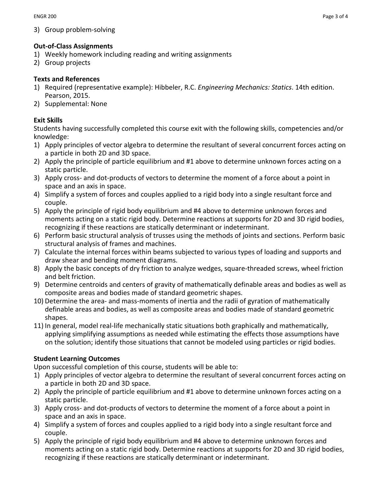3) Group problem-solving

## **Out-of-Class Assignments**

- 1) Weekly homework including reading and writing assignments
- 2) Group projects

## **Texts and References**

- 1) Required (representative example): Hibbeler, R.C. *Engineering Mechanics: Statics*. 14th edition. Pearson, 2015.
- 2) Supplemental: None

# **Exit Skills**

Students having successfully completed this course exit with the following skills, competencies and/or knowledge:

- 1) Apply principles of vector algebra to determine the resultant of several concurrent forces acting on a particle in both 2D and 3D space.
- 2) Apply the principle of particle equilibrium and #1 above to determine unknown forces acting on a static particle.
- 3) Apply cross- and dot-products of vectors to determine the moment of a force about a point in space and an axis in space.
- 4) Simplify a system of forces and couples applied to a rigid body into a single resultant force and couple.
- 5) Apply the principle of rigid body equilibrium and #4 above to determine unknown forces and moments acting on a static rigid body. Determine reactions at supports for 2D and 3D rigid bodies, recognizing if these reactions are statically determinant or indeterminant.
- 6) Perform basic structural analysis of trusses using the methods of joints and sections. Perform basic structural analysis of frames and machines.
- 7) Calculate the internal forces within beams subjected to various types of loading and supports and draw shear and bending moment diagrams.
- 8) Apply the basic concepts of dry friction to analyze wedges, square-threaded screws, wheel friction and belt friction.
- 9) Determine centroids and centers of gravity of mathematically definable areas and bodies as well as composite areas and bodies made of standard geometric shapes.
- 10) Determine the area- and mass-moments of inertia and the radii of gyration of mathematically definable areas and bodies, as well as composite areas and bodies made of standard geometric shapes.
- 11) In general, model real-life mechanically static situations both graphically and mathematically, applying simplifying assumptions as needed while estimating the effects those assumptions have on the solution; identify those situations that cannot be modeled using particles or rigid bodies.

# **Student Learning Outcomes**

Upon successful completion of this course, students will be able to:

- 1) Apply principles of vector algebra to determine the resultant of several concurrent forces acting on a particle in both 2D and 3D space.
- 2) Apply the principle of particle equilibrium and #1 above to determine unknown forces acting on a static particle.
- 3) Apply cross- and dot-products of vectors to determine the moment of a force about a point in space and an axis in space.
- 4) Simplify a system of forces and couples applied to a rigid body into a single resultant force and couple.
- 5) Apply the principle of rigid body equilibrium and #4 above to determine unknown forces and moments acting on a static rigid body. Determine reactions at supports for 2D and 3D rigid bodies, recognizing if these reactions are statically determinant or indeterminant.